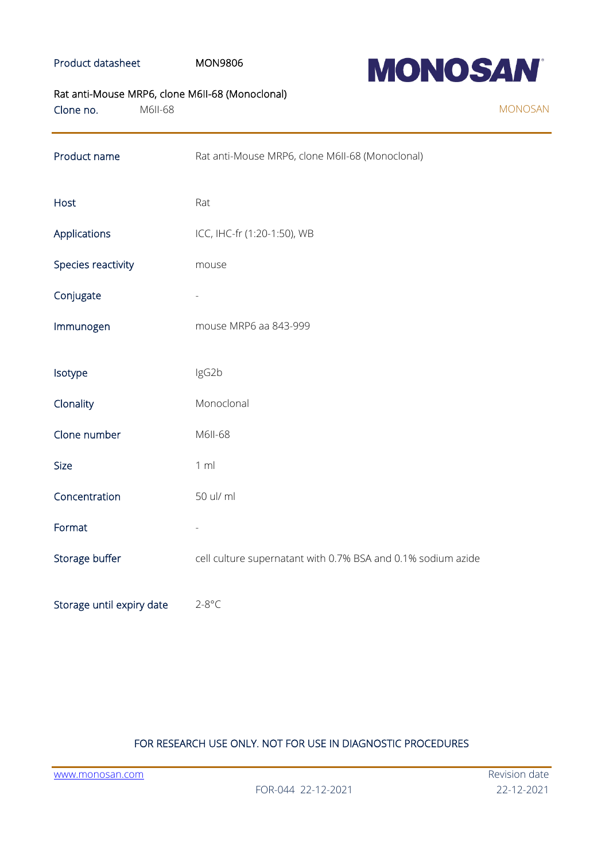### Product datasheet MON9806



## Rat anti-Mouse MRP6, clone M6II-68 (Monoclonal)

| Clone no. | M6II-68 |
|-----------|---------|
|           |         |

| Product name              | Rat anti-Mouse MRP6, clone M6II-68 (Monoclonal)              |  |
|---------------------------|--------------------------------------------------------------|--|
| <b>Host</b>               | Rat                                                          |  |
| Applications              | ICC, IHC-fr (1:20-1:50), WB                                  |  |
| Species reactivity        | mouse                                                        |  |
| Conjugate                 |                                                              |  |
| Immunogen                 | mouse MRP6 aa 843-999                                        |  |
| Isotype                   | IgG2b                                                        |  |
| Clonality                 | Monoclonal                                                   |  |
| Clone number              | M6II-68                                                      |  |
| Size                      | 1 m                                                          |  |
| Concentration             | 50 ul/ ml                                                    |  |
| Format                    |                                                              |  |
| Storage buffer            | cell culture supernatant with 0.7% BSA and 0.1% sodium azide |  |
| Storage until expiry date | $2 - 8$ °C                                                   |  |

## FOR RESEARCH USE ONLY. NOT FOR USE IN DIAGNOSTIC PROCEDURES